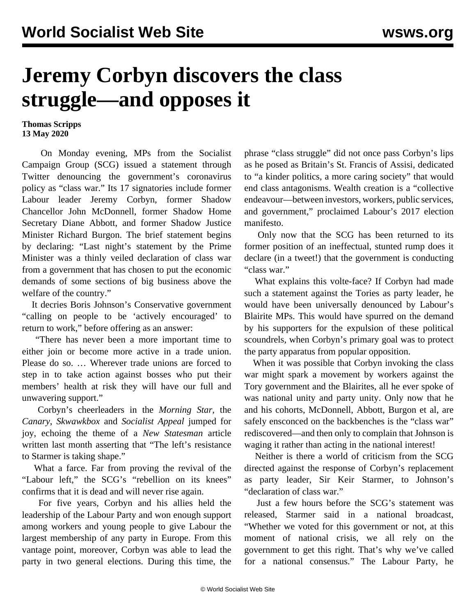## **Jeremy Corbyn discovers the class struggle—and opposes it**

**Thomas Scripps 13 May 2020**

 On Monday evening, MPs from the Socialist Campaign Group (SCG) issued a statement through Twitter denouncing the government's coronavirus policy as "class war." Its 17 signatories include former Labour leader Jeremy Corbyn, former Shadow Chancellor John McDonnell, former Shadow Home Secretary Diane Abbott, and former Shadow Justice Minister Richard Burgon. The brief statement begins by declaring: "Last night's statement by the Prime Minister was a thinly veiled declaration of class war from a government that has chosen to put the economic demands of some sections of big business above the welfare of the country."

 It decries Boris Johnson's Conservative government "calling on people to be 'actively encouraged' to return to work," before offering as an answer:

 "There has never been a more important time to either join or become more active in a trade union. Please do so. … Wherever trade unions are forced to step in to take action against bosses who put their members' health at risk they will have our full and unwavering support."

 Corbyn's cheerleaders in the *Morning Star,* the *Canary*, *Skwawkbox* and *Socialist Appeal* jumped for joy, echoing the theme of a *New Statesman* article written last month asserting that "The left's resistance to Starmer is taking shape."

 What a farce. Far from proving the revival of the "Labour left," the SCG's "rebellion on its knees" confirms that it is dead and will never rise again.

 For five years, Corbyn and his allies held the leadership of the Labour Party and won enough support among workers and young people to give Labour the largest membership of any party in Europe. From this vantage point, moreover, Corbyn was able to lead the party in two general elections. During this time, the

phrase "class struggle" did not once pass Corbyn's lips as he posed as Britain's St. Francis of Assisi, dedicated to "a kinder politics, a more caring society" that would end class antagonisms. Wealth creation is a "collective endeavour—between investors, workers, public services, and government," proclaimed Labour's 2017 election manifesto.

 Only now that the SCG has been returned to its former position of an ineffectual, stunted rump does it declare (in a tweet!) that the government is conducting "class war."

 What explains this volte-face? If Corbyn had made such a statement against the Tories as party leader, he would have been universally denounced by Labour's Blairite MPs. This would have spurred on the demand by his supporters for the expulsion of these political scoundrels, when Corbyn's primary goal was to protect the party apparatus from popular opposition.

 When it was possible that Corbyn invoking the class war might spark a movement by workers against the Tory government and the Blairites, all he ever spoke of was national unity and party unity. Only now that he and his cohorts, McDonnell, Abbott, Burgon et al, are safely ensconced on the backbenches is the "class war" rediscovered—and then only to complain that Johnson is waging it rather than acting in the national interest!

 Neither is there a world of criticism from the SCG directed against the response of Corbyn's replacement as party leader, Sir Keir Starmer, to Johnson's "declaration of class war."

 Just a few hours before the SCG's statement was released, Starmer said in a national broadcast, "Whether we voted for this government or not, at this moment of national crisis, we all rely on the government to get this right. That's why we've called for a national consensus." The Labour Party, he